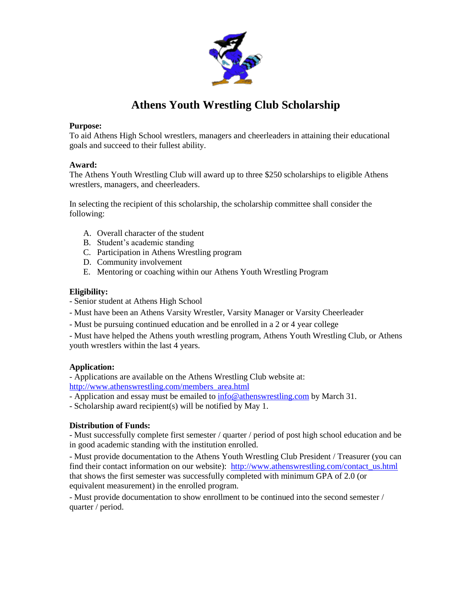

# **Athens Youth Wrestling Club Scholarship**

#### **Purpose:**

To aid Athens High School wrestlers, managers and cheerleaders in attaining their educational goals and succeed to their fullest ability.

#### **Award:**

The Athens Youth Wrestling Club will award up to three \$250 scholarships to eligible Athens wrestlers, managers, and cheerleaders.

In selecting the recipient of this scholarship, the scholarship committee shall consider the following:

- A. Overall character of the student
- B. Student's academic standing
- C. Participation in Athens Wrestling program
- D. Community involvement
- E. Mentoring or coaching within our Athens Youth Wrestling Program

#### **Eligibility:**

- Senior student at Athens High School
- Must have been an Athens Varsity Wrestler, Varsity Manager or Varsity Cheerleader
- Must be pursuing continued education and be enrolled in a 2 or 4 year college

- Must have helped the Athens youth wrestling program, Athens Youth Wrestling Club, or Athens youth wrestlers within the last 4 years.

## **Application:**

- Applications are available on the Athens Wrestling Club website at:

[http://www.athenswrestling.com/members\\_area.html](http://www.athenswrestling.com/members_area.html)

- Application and essay must be emailed to [info@athenswrestling.com](mailto:info@athenswrestling.com) by March 31.
- Scholarship award recipient(s) will be notified by May 1.

## **Distribution of Funds:**

- Must successfully complete first semester / quarter / period of post high school education and be in good academic standing with the institution enrolled.

- Must provide documentation to the Athens Youth Wrestling Club President / Treasurer (you can find their contact information on our website): [http://www.athenswrestling.com/contact\\_us.html](http://www.athenswrestling.com/contact_us.html) that shows the first semester was successfully completed with minimum GPA of 2.0 (or equivalent measurement) in the enrolled program.

- Must provide documentation to show enrollment to be continued into the second semester / quarter / period.